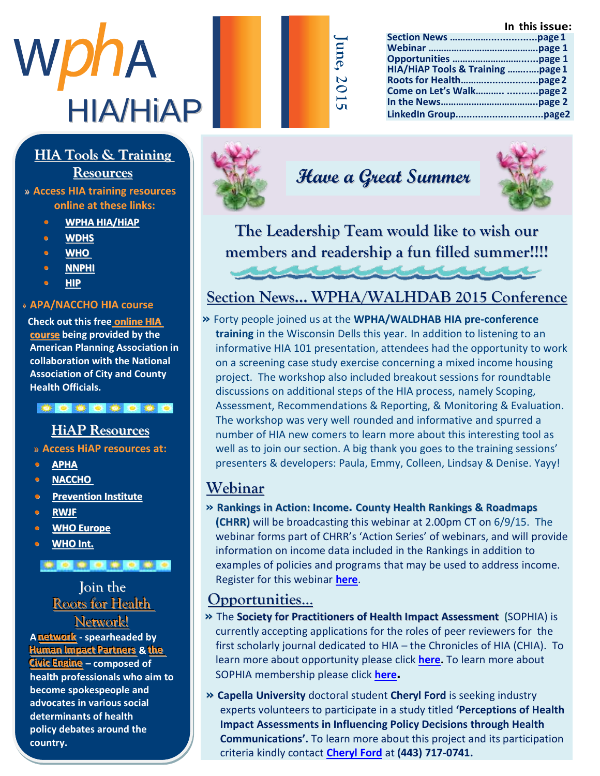# WphA HIA/HiAP

## $HIA$  Tools & Training

## Resources

Abby Jackson » **Access HIA training resources b see so n h a s online at these links:** 

- **•** WPHA HIA/HIAP
- **m** b e <mark>WDHS</mark> and the M a  $\sim$
- **• • WHO • • WHO**  $\frac{m}{2}$  m  $\frac{m}{2}$
- $\frac{N \cdot \text{N} \cdot \text{N} \cdot \text{N}}{N \cdot \text{N} \cdot \text{N}}$ **• [NNPHI](http://www.nnphi.org/program-areas/health-in-all-policies/health-impact-assessment/hia-resources-webinars-and-trainings)**
- f o r t <mark>hip</mark>er se c t i o n M se c t i o n M se c t i o n M se c t i o n M se c t i o n M se c t i o n M se c t i o n M se c t i o n M se c t i o n M se c t i o n M se c t i o n M se c t i o n M se c t i o n M se c t i o **• HIP**

#### » APA/NACCHO HIA course  $r \sim 100$  in  $\epsilon$

**Check out this free <mark>[online](http://advance.captus.com/planning/hia2/home.aspx) HIA</mark> <u>[course](http://advance.captus.com/planning/hia2/home.aspx)</u>** being provided by the **American Planning Association in** collaboration with the National **Association of City and County Health Officials.** 

t e un segundo de U h e r p u b l i caracter (de registrat de la traducter de la traducter de la traducter de la traducter de la t<br>L

#### **HiAP** Resources

 $\overline{\phantom{a}}$ n e w s a l ii A D we souwere s to » Access HiAP resources at:

- P r [o g r a m](http://apha.org/topics-and-issues/healthy-communities/health-in-all-policies) A s s i s t a n t w i t h **• APHA**
- t h [e C h r o n i](http://www.naccho.org/advocacy/positions/upload/12-01-health-in-all-policies.pdf) c D i s e a s e **• NACCHO**
- **Prevention Institute**
- <u>b i [RWJF](http://www.rwjf.org/content/dam/farm/articles/journal_articles/2011/rwjf69741)</u> i c i c n o f P u b l i c i c n o f p u b l i c i c n o f p u b l i c i c n o f p u b l i c i c n o f p u b l i c i c n o f p u b l i c i c n o f p u b l i c i c n o f p u b l i c i c n o f p u b l i c i c n o f
- $\frac{H \mathbf{W} \mathbf{H}}{2}$  $\bullet$  **WHO Europe**
- **n WHO Int.** *e wHO* **<b>Int.**

#### t a k e h e h e r t o t o t o t o t U n i v e r s s i v e r s i s c o n s i s c o n s i s c o n s i n s i n s i n s i n s i n s i n s i n s i n s i

#### **M** a d i s o l o in the b e was die wie waar die klaas van die klaas van die klaas van die klaas van die klaas van die klaas van die k<br>Bekend van die klaas van die klaas van die klaas van die klaas van die klaas van die klaas van die klaas van d **Roots for Health R** e <u>Network!</u>

**A network** - spearheaded by **Human Impact Partners & the ince Engine** – composed of **health professionals who aim to become spokespeople and** advocates in various social determinants of health **policy debates around the country.** 



### **Have a Great Summer**

**June, 2**

**0 1 5**



**The Leadership Team would like to wish our members and readership a fun filled summer!!!!**

#### **Section News… WPHA/WALHDAB 2015 Conference**

**»** Forty people joined us at the **WPHA/WALDHAB HIA pre-conference training** in the Wisconsin Dells this year. In addition to listening to an informative HIA 101 presentation, attendees had the opportunity to work on a screening case study exercise concerning a mixed income housing project. The workshop also included breakout sessions for roundtable discussions on additional steps of the HIA process, namely Scoping, Assessment, Recommendations & Reporting, & Monitoring & Evaluation. The workshop was very well rounded and informative and spurred a number of HIA new comers to learn more about this interesting tool as well as to join our section. A big thank you goes to the training sessions' presenters & developers: Paula, Emmy, Colleen, Lindsay & Denise. Yayy!

#### **Webinar**

**» Rankings in Action: Income. County Health Rankings & Roadmaps (CHRR)** will be broadcasting this webinar at 2.00pm CT on 6/9/15. The webinar forms part of CHRR's 'Action Series' of webinars, and will provide information on income data included in the Rankings in addition to examples of policies and programs that may be used to address income. Register for this webinar **[here](http://www.countyhealthrankings.org/webinars/rankings-action-income)**.

#### **Opportunities**…

- **»** The **Society for Practitioners of Health Impact Assessment (**SOPHIA) is currently accepting applications for the roles of peer reviewers for the first scholarly journal dedicated to HIA – the Chronicles of HIA (CHIA). To learn more about opportunity please click **[here.](http://hiasociety.org/wp-content/uploads/2015/05/CHIA-Peer-Reviewer-Form-5-4-15.pdf?utm_source=Full+SOPHIA+membership&utm_campaign=b07ef2bb17-SOPHIA_Newsletter_Winter_2015&utm_medium=email&utm_term=0_2abfbbe6c4-b07ef2bb17-45172653)** To learn more about SOPHIA membership please click **[here](http://hiasociety.org/?page_id=602).**
- **» Capella University** doctoral student **Cheryl Ford** is seeking industry experts volunteers to participate in a study titled **'Perceptions of Health Impact Assessments in Influencing Policy Decisions through Health Communications'.** To learn more about this project and its participation criteria kindly contact **[Cheryl Ford](mailto:Cford18@capellauniversity.edu)** at **(443) 717-0741.**

#### **In this issue: Section News …………….................page1**

**Webinar …………………………………….page 1 Opportunities ………………………......page 1 HIA/HiAP Tools & Training ……..….page1 Roots for Health………...................page2 Come on Let's Walk……….. ...........page 2 In the News………………………………..page 2 LinkedIn Group...............................page2**